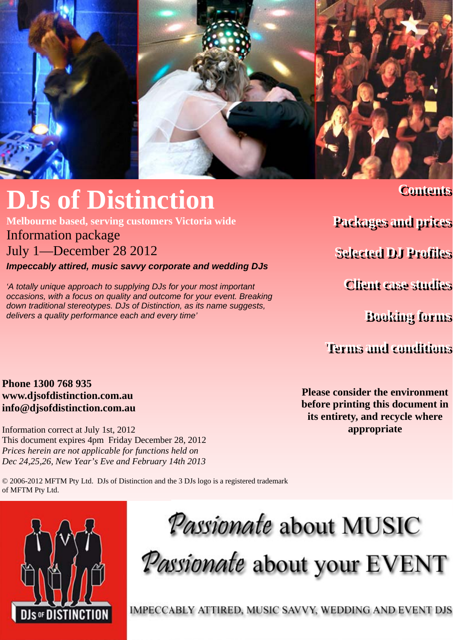

**Melbourne based, serving customers Victoria wide** 

### Information package

July 1—December 28 2012

*Impeccably attired, music savvy corporate and wedding DJs* 

*'A totally unique approach to supplying DJs for your most important occasions, with a focus on quality and outcome for your event. Breaking down traditional stereotypes. DJs of Distinction, as its name suggests, delivers a quality performance each and every time'* 

**Contents Contents**

**Packages and prices Packages and prices**

**Selected DJ Profiles Selected DJ Profiles**

**Client case studies Client case studies**

**Booking forms Booking forms**

**Terms and conditions Terms and conditions**

**Phone 1300 768 935 www.djsofdistinction.com.au info@djsofdistinction.com.au** 

Information correct at July 1st, 2012 This document expires 4pm Friday December 28, 2012 *Prices herein are not applicable for functions held on Dec 24,25,26, New Year's Eve and February 14th 2013* 

© 2006-2012 MFTM Pty Ltd. DJs of Distinction and the 3 DJs logo is a registered trademark of MFTM Pty Ltd.

**Please consider the environment before printing this document in its entirety, and recycle where appropriate** 



*Passionate* about MUSIC

Passionate about your EVENT

IMPECCABLY ATTIRED, MUSIC SAVVY, WEDDING AND EVENT DJS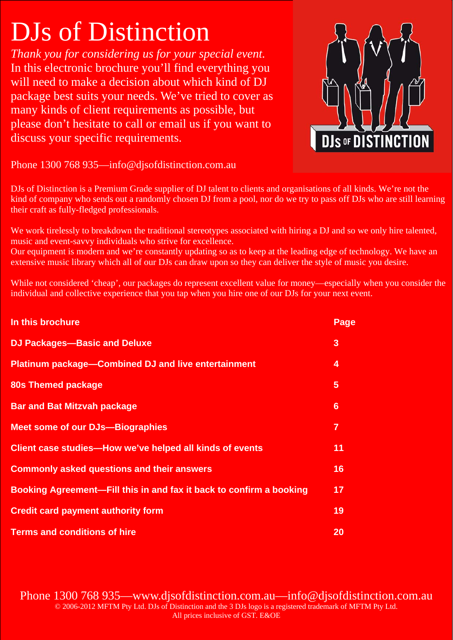*Thank you for considering us for your special event.*  In this electronic brochure you'll find everything you will need to make a decision about which kind of DJ package best suits your needs. We've tried to cover as many kinds of client requirements as possible, but please don't hesitate to call or email us if you want to discuss your specific requirements.



Phone 1300 768 935—info@djsofdistinction.com.au

DJs of Distinction is a Premium Grade supplier of DJ talent to clients and organisations of all kinds. We're not the kind of company who sends out a randomly chosen DJ from a pool, nor do we try to pass off DJs who are still learning their craft as fully-fledged professionals.

We work tirelessly to breakdown the traditional stereotypes associated with hiring a DJ and so we only hire talented, music and event-savvy individuals who strive for excellence.

Our equipment is modern and we're constantly updating so as to keep at the leading edge of technology. We have an extensive music library which all of our DJs can draw upon so they can deliver the style of music you desire.

While not considered 'cheap', our packages do represent excellent value for money—especially when you consider the individual and collective experience that you tap when you hire one of our DJs for your next event.

| In this brochure                                                    | Page |
|---------------------------------------------------------------------|------|
| <b>DJ Packages-Basic and Deluxe</b>                                 | 3    |
| <b>Platinum package-Combined DJ and live entertainment</b>          | 4    |
| 80s Themed package                                                  | 5    |
| <b>Bar and Bat Mitzvah package</b>                                  | 6    |
| <b>Meet some of our DJs-Biographies</b>                             | 7    |
| Client case studies—How we've helped all kinds of events            | 11   |
| <b>Commonly asked questions and their answers</b>                   | 16   |
| Booking Agreement—Fill this in and fax it back to confirm a booking | 17   |
| <b>Credit card payment authority form</b>                           | 19   |
| <b>Terms and conditions of hire</b>                                 | 20   |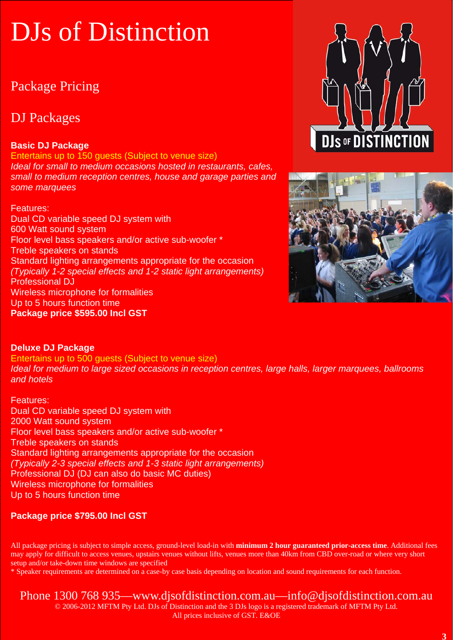## Package Pricing

## DJ Packages

### **Basic DJ Package**

Entertains up to 150 guests (Subject to venue size) *Ideal for small to medium occasions hosted in restaurants, cafes, small to medium reception centres, house and garage parties and some marquees* 

Features: Dual CD variable speed DJ system with 600 Watt sound system Floor level bass speakers and/or active sub-woofer \* Treble speakers on stands Standard lighting arrangements appropriate for the occasion *(Typically 1-2 special effects and 1-2 static light arrangements)*  Professional DJ Wireless microphone for formalities Up to 5 hours function time **Package price \$595.00 Incl GST** 





### **Deluxe DJ Package**

Entertains up to 500 guests (Subject to venue size) *Ideal for medium to large sized occasions in reception centres, large halls, larger marquees, ballrooms and hotels* 

Features: Dual CD variable speed DJ system with 2000 Watt sound system Floor level bass speakers and/or active sub-woofer \* Treble speakers on stands Standard lighting arrangements appropriate for the occasion *(Typically 2-3 special effects and 1-3 static light arrangements)*  Professional DJ (DJ can also do basic MC duties) Wireless microphone for formalities Up to 5 hours function time

### **Package price \$795.00 Incl GST**

All package pricing is subject to simple access, ground-level load-in with **minimum 2 hour guaranteed prior-access time**. Additional fees may apply for difficult to access venues, upstairs venues without lifts, venues more than 40km from CBD over-road or where very short setup and/or take-down time windows are specified

\* Speaker requirements are determined on a case-by case basis depending on location and sound requirements for each function.

### Phone 1300 768 935—www.djsofdistinction.com.au—info@djsofdistinction.com.au

© 2006-2012 MFTM Pty Ltd. DJs of Distinction and the 3 DJs logo is a registered trademark of MFTM Pty Ltd. All prices inclusive of GST. E&OE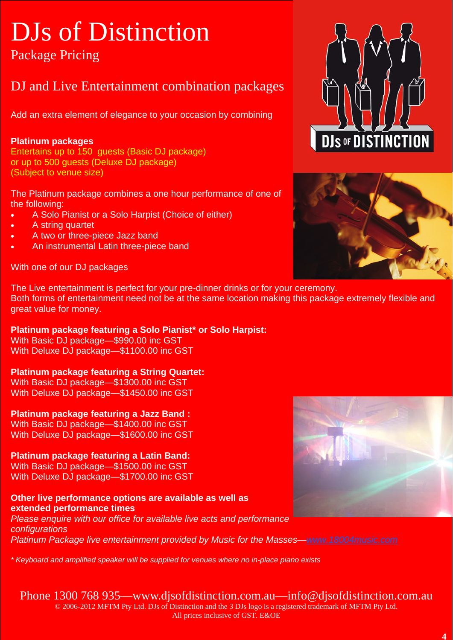## Package Pricing

## DJ and Live Entertainment combination packages

Add an extra element of elegance to your occasion by combining

### **Platinum packages**

Entertains up to 150 guests (Basic DJ package) or up to 500 guests (Deluxe DJ package) (Subject to venue size)

The Platinum package combines a one hour performance of one of the following:

- A Solo Pianist or a Solo Harpist (Choice of either)
- A string quartet
- A two or three-piece Jazz band
- An instrumental Latin three-piece band

With one of our DJ packages





The Live entertainment is perfect for your pre-dinner drinks or for your ceremony. Both forms of entertainment need not be at the same location making this package extremely flexible and great value for money.

### **Platinum package featuring a Solo Pianist\* or Solo Harpist:**

With Basic DJ package—\$990.00 inc GST With Deluxe DJ package—\$1100.00 inc GST

### **Platinum package featuring a String Quartet:**

With Basic DJ package—\$1300.00 inc GST With Deluxe DJ package—\$1450.00 inc GST

**Platinum package featuring a Jazz Band :** 

With Basic DJ package—\$1400.00 inc GST With Deluxe DJ package—\$1600.00 inc GST

### **Platinum package featuring a Latin Band:**

With Basic DJ package—\$1500.00 inc GST With Deluxe DJ package—\$1700.00 inc GST

### **Other live performance options are available as well as extended performance times**

*Please enquire with our office for available live acts and performance configurations Platinum Package live entertainment provided by Music for the Masses—www.18004music.com*

*\* Keyboard and amplified speaker will be supplied for venues where no in-place piano exists* 

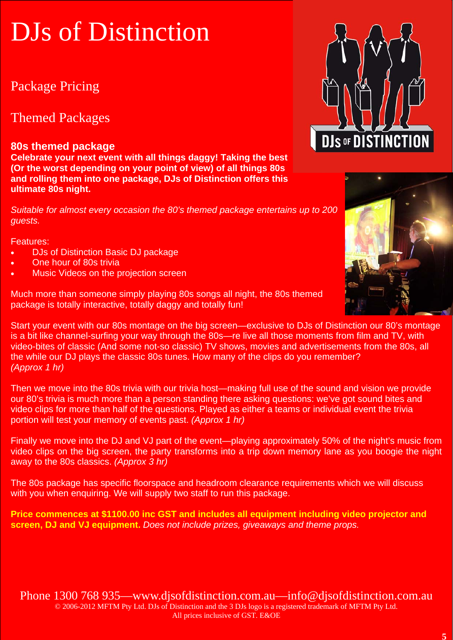## Package Pricing

### Themed Packages

### **80s themed package**

**Celebrate your next event with all things daggy! Taking the best (Or the worst depending on your point of view) of all things 80s and rolling them into one package, DJs of Distinction offers this ultimate 80s night.** 

*Suitable for almost every occasion the 80's themed package entertains up to 200 guests.* 

Features:

- DJs of Distinction Basic DJ package
- One hour of 80s trivia
- Music Videos on the projection screen

Much more than someone simply playing 80s songs all night, the 80s themed package is totally interactive, totally daggy and totally fun!

Start your event with our 80s montage on the big screen—exclusive to DJs of Distinction our 80's montage is a bit like channel-surfing your way through the 80s—re live all those moments from film and TV, with video-bites of classic (And some not-so classic) TV shows, movies and advertisements from the 80s, all the while our DJ plays the classic 80s tunes. How many of the clips do you remember? *(Approx 1 hr)* 

Then we move into the 80s trivia with our trivia host—making full use of the sound and vision we provide our 80's trivia is much more than a person standing there asking questions: we've got sound bites and video clips for more than half of the questions. Played as either a teams or individual event the trivia portion will test your memory of events past. *(Approx 1 hr)*

Finally we move into the DJ and VJ part of the event—playing approximately 50% of the night's music from video clips on the big screen, the party transforms into a trip down memory lane as you boogie the night away to the 80s classics. *(Approx 3 hr)*

The 80s package has specific floorspace and headroom clearance requirements which we will discuss with you when enquiring. We will supply two staff to run this package.

**Price commences at \$1100.00 inc GST and includes all equipment including video projector and screen, DJ and VJ equipment.** *Does not include prizes, giveaways and theme props.* 



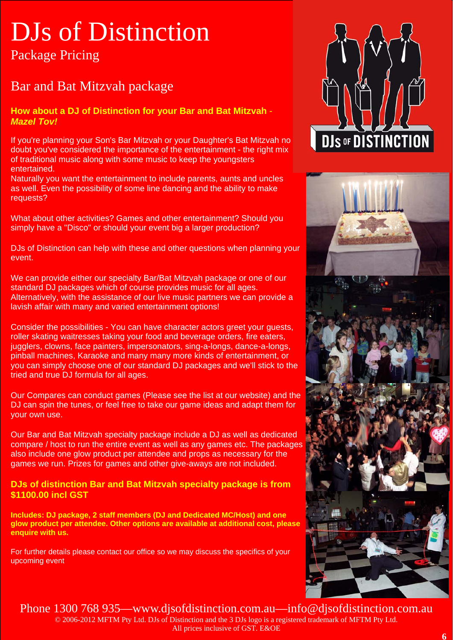Package Pricing

## Bar and Bat Mitzvah package

**How about a DJ of Distinction for your Bar and Bat Mitzvah** - *Mazel Tov!* 

If you're planning your Son's Bar Mitzvah or your Daughter's Bat Mitzvah no doubt you've considered the importance of the entertainment - the right mix of traditional music along with some music to keep the youngsters entertained.

Naturally you want the entertainment to include parents, aunts and uncles as well. Even the possibility of some line dancing and the ability to make requests?

What about other activities? Games and other entertainment? Should you simply have a "Disco" or should your event big a larger production?

DJs of Distinction can help with these and other questions when planning your event.

We can provide either our specialty Bar/Bat Mitzvah package or one of our standard DJ packages which of course provides music for all ages. Alternatively, with the assistance of our live music partners we can provide a lavish affair with many and varied entertainment options!

Consider the possibilities - You can have character actors greet your guests, roller skating waitresses taking your food and beverage orders, fire eaters, jugglers, clowns, face painters, impersonators, sing-a-longs, dance-a-longs, pinball machines, Karaoke and many many more kinds of entertainment, or you can simply choose one of our standard DJ packages and we'll stick to the tried and true DJ formula for all ages.

Our Compares can conduct games (Please see the list at our website) and the DJ can spin the tunes, or feel free to take our game ideas and adapt them for your own use.

Our Bar and Bat Mitzvah specialty package include a DJ as well as dedicated compare / host to run the entire event as well as any games etc. The packages also include one glow product per attendee and props as necessary for the games we run. Prizes for games and other give-aways are not included.

### **DJs of distinction Bar and Bat Mitzvah specialty package is from \$1100.00 incl GST**

**Includes: DJ package, 2 staff members (DJ and Dedicated MC/Host) and one glow product per attendee. Other options are available at additional cost, please enquire with us.**

For further details please contact our office so we may discuss the specifics of your upcoming event



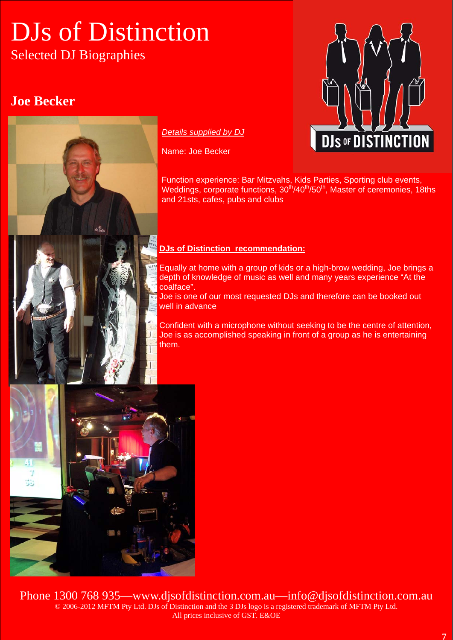## DJs of Distinction Selected DJ Biographies

### **Joe Becker**



### *Details supplied by DJ*

Name: Joe Becker



Function experience: Bar Mitzvahs, Kids Parties, Sporting club events, Weddings, corporate functions,  $30<sup>th</sup>/40<sup>th</sup>/50<sup>th</sup>$ , Master of ceremonies, 18ths and 21sts, cafes, pubs and clubs

### **DJs of Distinction recommendation:**

Equally at home with a group of kids or a high-brow wedding, Joe brings a depth of knowledge of music as well and many years experience "At the coalface".

Joe is one of our most requested DJs and therefore can be booked out well in advance

Confident with a microphone without seeking to be the centre of attention, Joe is as accomplished speaking in front of a group as he is entertaining them.

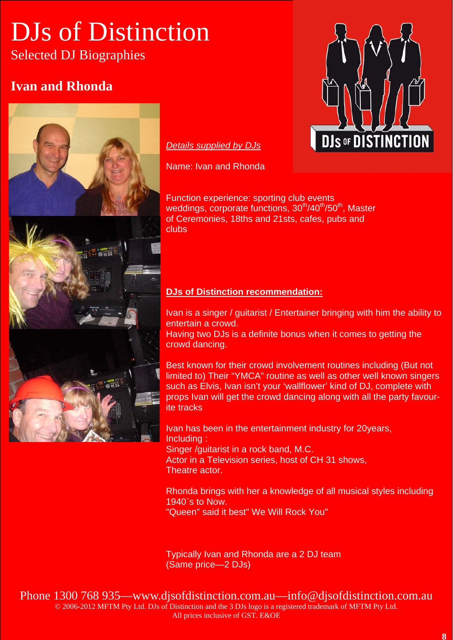## DJs of Distinction Selected DJ Biographies

## **Ivan and Rhonda**



### *Details supplied by DJs*

Name: Ivan and Rhonda

Function experience: sporting club events weddings, corporate functions,  $30<sup>th</sup>/40<sup>th</sup>/50<sup>th</sup>$ , Master of Ceremonies, 18ths and 21sts, cafes, pubs and clubs

### **DJs of Distinction recommendation:**

Ivan is a singer / guitarist / Entertainer bringing with him the ability to entertain a crowd. Having two DJs is a definite bonus when it comes to getting the

crowd dancing.

Best known for their crowd involvement routines including (But not limited to) Their "YMCA" routine as well as other well known singers such as Elvis, Ivan isn't your 'wallflower' kind of DJ, complete with props Ivan will get the crowd dancing along with all the party favourite tracks

Ivan has been in the entertainment industry for 20years, Including : Singer /guitarist in a rock band, M.C. Actor in a Television series, host of CH 31 shows, Theatre actor.

Rhonda brings with her a knowledge of all musical styles including 1940`s to Now. "Queen" said it best" We Will Rock You"

Typically Ivan and Rhonda are a 2 DJ team (Same price—2 DJs)

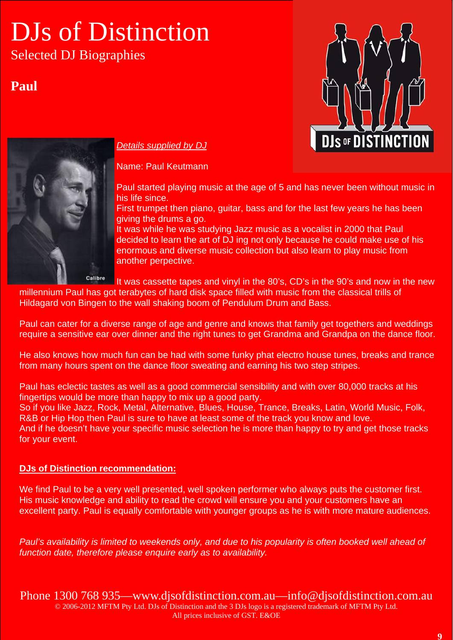## DJs of Distinction Selected DJ Biographies

**Paul**





### *Details supplied by DJ*

Name: Paul Keutmann

Paul started playing music at the age of 5 and has never been without music in his life since.

First trumpet then piano, guitar, bass and for the last few years he has been giving the drums a go.

It was while he was studying Jazz music as a vocalist in 2000 that Paul decided to learn the art of DJ ing not only because he could make use of his enormous and diverse music collection but also learn to play music from another perpective.

It was cassette tapes and vinyl in the 80's, CD's in the 90's and now in the new

millennium Paul has got terabytes of hard disk space filled with music from the classical trills of Hildagard von Bingen to the wall shaking boom of Pendulum Drum and Bass.

Paul can cater for a diverse range of age and genre and knows that family get togethers and weddings require a sensitive ear over dinner and the right tunes to get Grandma and Grandpa on the dance floor.

He also knows how much fun can be had with some funky phat electro house tunes, breaks and trance from many hours spent on the dance floor sweating and earning his two step stripes.

Paul has eclectic tastes as well as a good commercial sensibility and with over 80,000 tracks at his fingertips would be more than happy to mix up a good party.

So if you like Jazz, Rock, Metal, Alternative, Blues, House, Trance, Breaks, Latin, World Music, Folk, R&B or Hip Hop then Paul is sure to have at least some of the track you know and love.

And if he doesn't have your specific music selection he is more than happy to try and get those tracks for your event.

### **DJs of Distinction recommendation:**

We find Paul to be a very well presented, well spoken performer who always puts the customer first. His music knowledge and ability to read the crowd will ensure you and your customers have an excellent party. Paul is equally comfortable with younger groups as he is with more mature audiences.

*Paul's availability is limited to weekends only, and due to his popularity is often booked well ahead of function date, therefore please enquire early as to availability.*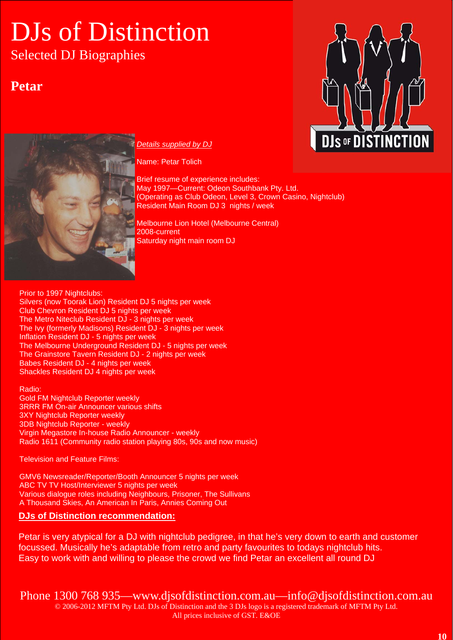Selected DJ Biographies

## **Petar**



### *Details supplied by DJ*

Name: Petar Tolich

Brief resume of experience includes: May 1997—Current: Odeon Southbank Pty. Ltd. (Operating as Club Odeon, Level 3, Crown Casino, Nightclub) Resident Main Room DJ 3 nights / week

Melbourne Lion Hotel (Melbourne Central) 2008-current Saturday night main room DJ

Prior to 1997 Nightclubs: Silvers (now Toorak Lion) Resident DJ 5 nights per week Club Chevron Resident DJ 5 nights per week The Metro Niteclub Resident DJ - 3 nights per week The Ivy (formerly Madisons) Resident DJ - 3 nights per week Inflation Resident DJ - 5 nights per week The Melbourne Underground Resident DJ - 5 nights per week The Grainstore Tavern Resident DJ - 2 nights per week Babes Resident DJ - 4 nights per week Shackles Resident DJ 4 nights per week

Radio: Gold FM Nightclub Reporter weekly 3RRR FM On-air Announcer various shifts 3XY Nightclub Reporter weekly 3DB Nightclub Reporter - weekly Virgin Megastore In-house Radio Announcer - weekly Radio 1611 (Community radio station playing 80s, 90s and now music)

Television and Feature Films:

GMV6 Newsreader/Reporter/Booth Announcer 5 nights per week ABC TV TV Host/Interviewer 5 nights per week Various dialogue roles including Neighbours, Prisoner, The Sullivans A Thousand Skies, An American In Paris, Annies Coming Out

### **DJs of Distinction recommendation:**

Petar is very atypical for a DJ with nightclub pedigree, in that he's very down to earth and customer focussed. Musically he's adaptable from retro and party favourites to todays nightclub hits. Easy to work with and willing to please the crowd we find Petar an excellent all round DJ

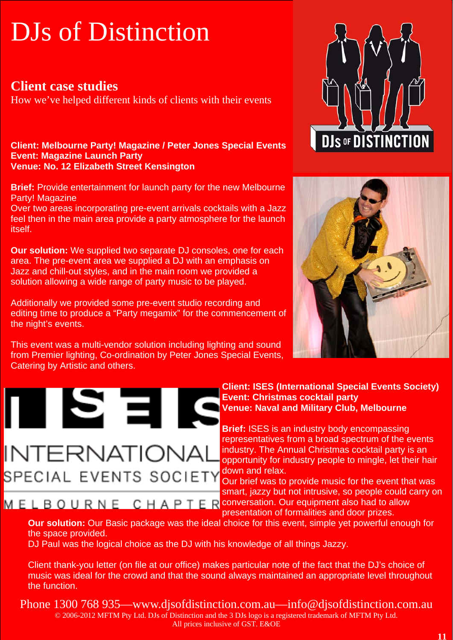### **Client case studies**

How we've helped different kinds of clients with their events

### **Client: Melbourne Party! Magazine / Peter Jones Special Events Event: Magazine Launch Party Venue: No. 12 Elizabeth Street Kensington**

**Brief:** Provide entertainment for launch party for the new Melbourne Party! Magazine

Over two areas incorporating pre-event arrivals cocktails with a Jazz feel then in the main area provide a party atmosphere for the launch itself.

**Our solution:** We supplied two separate DJ consoles, one for each area. The pre-event area we supplied a DJ with an emphasis on Jazz and chill-out styles, and in the main room we provided a solution allowing a wide range of party music to be played.

Additionally we provided some pre-event studio recording and editing time to produce a "Party megamix" for the commencement of the night's events.

This event was a multi-vendor solution including lighting and sound from Premier lighting, Co-ordination by Peter Jones Special Events, Catering by Artistic and others.

II SEI

**INTERNATIONAL** 





### **Client: ISES (International Special Events Society) Event: Christmas cocktail party Venue: Naval and Military Club, Melbourne**

**Brief:** ISES is an industry body encompassing representatives from a broad spectrum of the events industry. The Annual Christmas cocktail party is an opportunity for industry people to mingle, let their hair down and relax.

SPECIAL EVENTS SOCIETY Our brief was to provide music for the event that was smart, jazzy but not intrusive, so people could carry on M E L B O U R N E C H A P T E R conversation. Our equipment also had to allow presentation of formalities and door prizes.

### **Our solution:** Our Basic package was the ideal choice for this event, simple yet powerful enough for the space provided.

DJ Paul was the logical choice as the DJ with his knowledge of all things Jazzy.

Client thank-you letter (on file at our office) makes particular note of the fact that the DJ's choice of music was ideal for the crowd and that the sound always maintained an appropriate level throughout the function.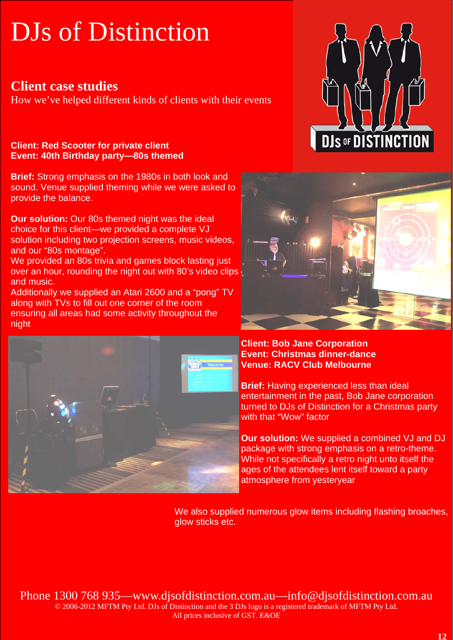### **Client case studies**

How we've helped different kinds of clients with their events

### **Client: Red Scooter for private client Event: 40th Birthday party—80s themed**

**Brief:** Strong emphasis on the 1980s in both look and sound. Venue supplied theming while we were asked to provide the balance.

**Our solution:** Our 80s themed night was the ideal choice for this client—we provided a complete VJ solution including two projection screens, music videos, and our "80s montage".

We provided an 80s trivia and games block lasting just over an hour, rounding the night out with 80's video clips and music.

Additionally we supplied an Atari 2600 and a "pong" TV along with TVs to fill out one corner of the room ensuring all areas had some activity throughout the night







**Client: Bob Jane Corporation Event: Christmas dinner-dance Venue: RACV Club Melbourne** 

**Brief:** Having experienced less than ideal entertainment in the past, Bob Jane corporation turned to DJs of Distinction for a Christmas party with that "Wow" factor

**Our solution:** We supplied a combined VJ and DJ package with strong emphasis on a retro-theme. While not specifically a retro night unto itself the ages of the attendees lent itself toward a party atmosphere from yesteryear

We also supplied numerous glow items including flashing broaches, glow sticks etc.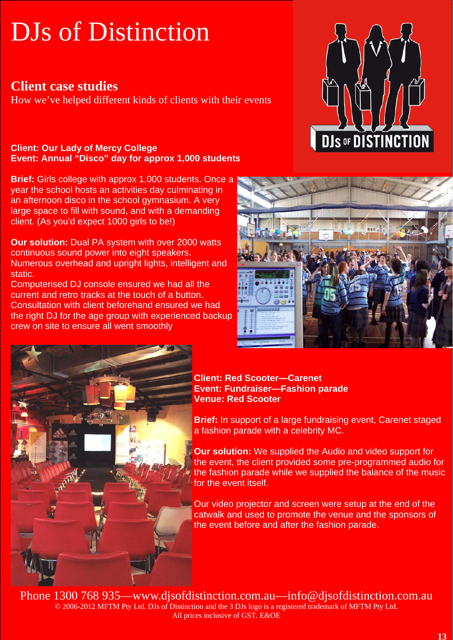### **Client case studies**

How we've helped different kinds of clients with their events

### **Client: Our Lady of Mercy College Event: Annual "Disco" day for approx 1,000 students**

**Brief:** Girls college with approx 1,000 students. Once a year the school hosts an activities day culminating in an afternoon disco in the school gymnasium. A very large space to fill with sound, and with a demanding client. (As you'd expect 1000 girls to be!)

**Our solution:** Dual PA system with over 2000 watts continuous sound power into eight speakers. Numerous overhead and upright lights, intelligent and static.

Computerised DJ console ensured we had all the current and retro tracks at the touch of a button. Consultation with client beforehand ensured we had the right DJ for the age group with experienced backup crew on site to ensure all went smoothly







### **Client: Red Scooter—Carenet Event: Fundraiser—Fashion parade Venue: Red Scooter**

**Brief:** In support of a large fundraising event, Carenet staged a fashion parade with a celebrity MC.

**Our solution:** We supplied the Audio and video support for the event, the client provided some pre-programmed audio for the fashion parade while we supplied the balance of the music for the event itself.

Our video projector and screen were setup at the end of the catwalk and used to promote the venue and the sponsors of the event before and after the fashion parade.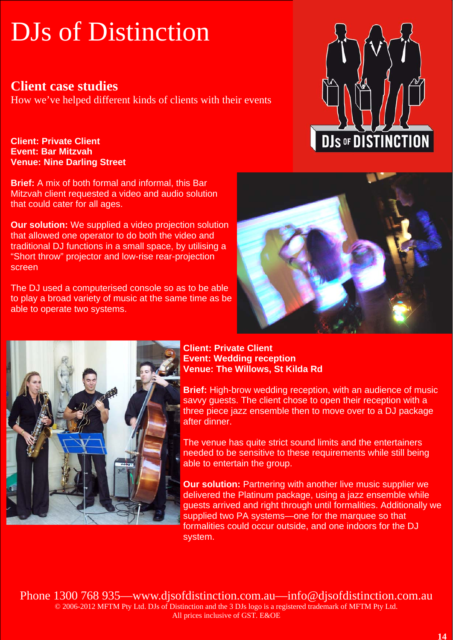### **Client case studies**

How we've helped different kinds of clients with their events

**Client: Private Client Event: Bar Mitzvah Venue: Nine Darling Street** 

**Brief:** A mix of both formal and informal, this Bar Mitzvah client requested a video and audio solution that could cater for all ages.

**Our solution:** We supplied a video projection solution that allowed one operator to do both the video and traditional DJ functions in a small space, by utilising a "Short throw" projector and low-rise rear-projection screen

The DJ used a computerised console so as to be able to play a broad variety of music at the same time as be able to operate two systems.







**Client: Private Client Event: Wedding reception Venue: The Willows, St Kilda Rd** 

**Brief:** High-brow wedding reception, with an audience of music savvy guests. The client chose to open their reception with a three piece jazz ensemble then to move over to a DJ package after dinner.

The venue has quite strict sound limits and the entertainers needed to be sensitive to these requirements while still being able to entertain the group.

**Our solution: Partnering with another live music supplier we** delivered the Platinum package, using a jazz ensemble while guests arrived and right through until formalities. Additionally we supplied two PA systems-one for the marquee so that formalities could occur outside, and one indoors for the DJ system.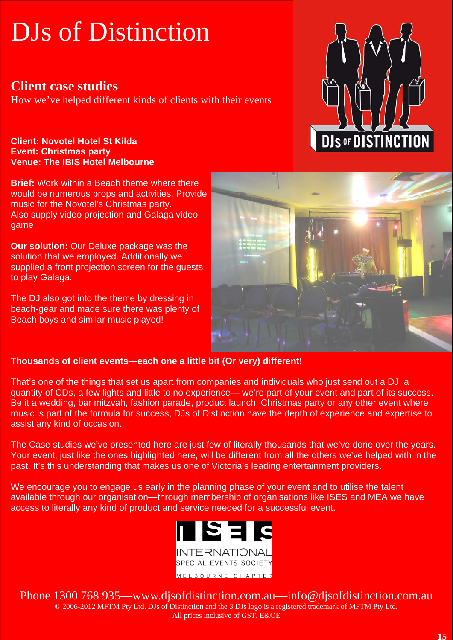### **Client case studies**

How we've helped different kinds of clients with their events

### **Client: Novotel Hotel St Kilda Event: Christmas party Venue: The IBIS Hotel Melbourne**

**Brief:** Work within a Beach theme where there would be numerous props and activities. Provide music for the Novotel's Christmas party. Also supply video projection and Galaga video game

**Our solution:** Our Deluxe package was the solution that we employed. Additionally we supplied a front projection screen for the guests to play Galaga.

The DJ also got into the theme by dressing in beach-gear and made sure there was plenty of Beach boys and similar music played!





### **Thousands of client events—each one a little bit (Or very) different!**

That's one of the things that set us apart from companies and individuals who just send out a DJ, a quantity of CDs, a few lights and little to no experience— we're part of your event and part of its success. Be it a wedding, bar mitzvah, fashion parade, product launch, Christmas party or any other event where music is part of the formula for success, DJs of Distinction have the depth of experience and expertise to assist any kind of occasion.

The Case studies we've presented here are just few of literally thousands that we've done over the years. Your event, just like the ones highlighted here, will be different from all the others we've helped with in the past. It's this understanding that makes us one of Victoria's leading entertainment providers.

We encourage you to engage us early in the planning phase of your event and to utilise the talent available through our organisation—through membership of organisations like ISES and MEA we have access to literally any kind of product and service needed for a successful event.

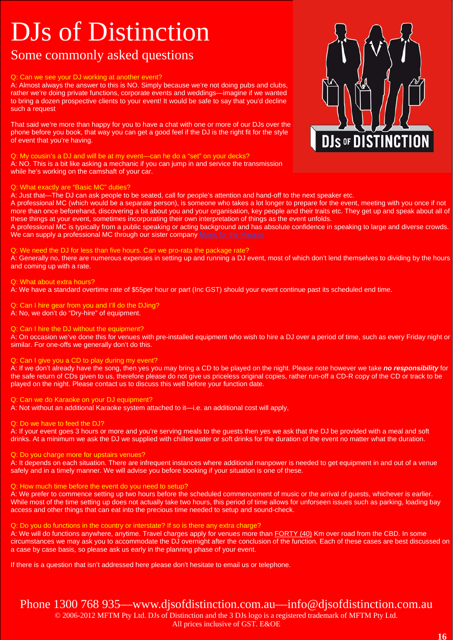### Some commonly asked questions

### Q: Can we see your DJ working at another event?

A: Almost always the answer to this is NO. Simply because we're not doing pubs and clubs, rather we're doing private functions, corporate events and weddings—imagine if we wanted to bring a dozen prospective clients to your event! It would be safe to say that you'd decline such a request

That said we're more than happy for you to have a chat with one or more of our DJs over the phone before you book, that way you can get a good feel if the DJ is the right fit for the style of event that you're having.

### Q: My cousin's a DJ and will be at my event—can he do a "set" on your decks?

A: NO. This is a bit like asking a mechanic if you can jump in and service the transmission while he's working on the camshaft of your car.

### Q: What exactly are "Basic MC" duties?

A: Just that—The DJ can ask people to be seated, call for people's attention and hand-off to the next speaker etc.

A professional MC (which would be a separate person), is someone who takes a lot longer to prepare for the event, meeting with you once if not more than once beforehand, discovering a bit about you and your organisation, key people and their traits etc. They get up and speak about all of these things at your event, sometimes incorporating their own interpretation of things as the event unfolds.

A professional MC is typically from a public speaking or acting background and has absolute confidence in speaking to large and diverse crowds. We can supply a professional MC through our sister company Music for the Masses

### Q: We need the DJ for less than five hours. Can we pro-rata the package rate?

A: Generally no, there are numerous expenses in setting up and running a DJ event, most of which don't lend themselves to dividing by the hours and coming up with a rate.

### Q: What about extra hours?

A: We have a standard overtime rate of \$55per hour or part (Inc GST) should your event continue past its scheduled end time.

### Q: Can I hire gear from you and I'll do the DJing?

A: No, we don't do "Dry-hire" of equipment.

### Q: Can I hire the DJ without the equipment?

A: On occasion we've done this for venues with pre-installed equipment who wish to hire a DJ over a period of time, such as every Friday night or similar. For one-offs we generally don't do this.

### Q: Can I give you a CD to play during my event?

A: If we don't already have the song, then yes you may bring a CD to be played on the night. Please note however we take *no responsibility* for the safe return of CDs given to us, therefore please do not give us priceless original copies, rather run-off a CD-R copy of the CD or track to be played on the night. Please contact us to discuss this well before your function date.

### Q: Can we do Karaoke on your DJ equipment?

A: Not without an additional Karaoke system attached to it—i.e. an additional cost will apply,

Q: Do we have to feed the DJ?

A: If your event goes 3 hours or more and you're serving meals to the guests then yes we ask that the DJ be provided with a meal and soft drinks. At a minimum we ask the DJ we supplied with chilled water or soft drinks for the duration of the event no matter what the duration.

### Q: Do you charge more for upstairs venues?

A: It depends on each situation. There are infrequent instances where additional manpower is needed to get equipment in and out of a venue safely and in a timely manner. We will advise you before booking if your situation is one of these.

### Q: How much time before the event do you need to setup?

A: We prefer to commence setting up two hours before the scheduled commencement of music or the arrival of guests, whichever is earlier. While most of the time setting up does not actually take two hours, this period of time allows for unforseen issues such as parking, loading bay access and other things that can eat into the precious time needed to setup and sound-check.

### Q: Do you do functions in the country or interstate? If so is there any extra charge?

A: We will do functions anywhere, anytime. Travel charges apply for venues more than FORTY (40) Km over road from the CBD. In some circumstances we may ask you to accommodate the DJ overnight after the conclusion of the function. Each of these cases are best discussed on a case by case basis, so please ask us early in the planning phase of your event.

If there is a question that isn't addressed here please don't hesitate to email us or telephone.

### Phone 1300 768 935—www.djsofdistinction.com.au—info@djsofdistinction.com.au

© 2006-2012 MFTM Pty Ltd. DJs of Distinction and the 3 DJs logo is a registered trademark of MFTM Pty Ltd.

### All prices inclusive of GST. E&OE

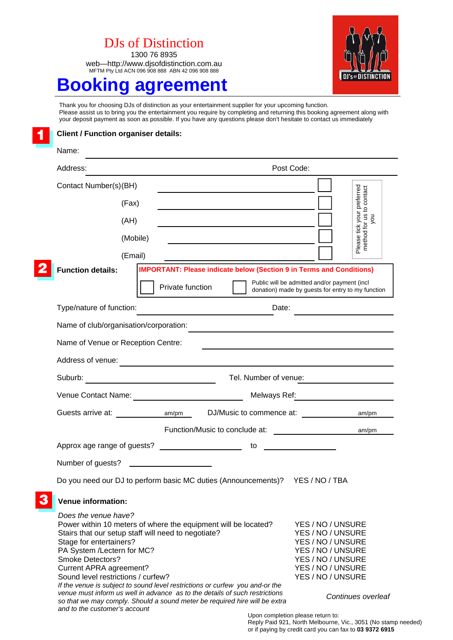1300 76 8935 web—http://www.djsofdistinction.com.au MFTM Pty Ltd ACN 096 908 888 ABN 42 096 908 888



## **Booking agreement**

Thank you for choosing DJs of distinction as your entertainment supplier for your upcoming function. Please assist us to bring you the entertainment you require by completing and returning this booking agreement along with your deposit payment as soon as possible. If you have any questions please don't hesitate to contact us immediately



| Name:                                                                                                                                                                                                             |          |                                                                                                                                                                                                                                                                                                                                                                    |                       |                                                                                                                                                 |                                                        |
|-------------------------------------------------------------------------------------------------------------------------------------------------------------------------------------------------------------------|----------|--------------------------------------------------------------------------------------------------------------------------------------------------------------------------------------------------------------------------------------------------------------------------------------------------------------------------------------------------------------------|-----------------------|-------------------------------------------------------------------------------------------------------------------------------------------------|--------------------------------------------------------|
| Address:                                                                                                                                                                                                          |          |                                                                                                                                                                                                                                                                                                                                                                    |                       | Post Code:                                                                                                                                      |                                                        |
| Contact Number(s)(BH)                                                                                                                                                                                             |          |                                                                                                                                                                                                                                                                                                                                                                    |                       |                                                                                                                                                 |                                                        |
|                                                                                                                                                                                                                   | (Fax)    |                                                                                                                                                                                                                                                                                                                                                                    |                       |                                                                                                                                                 | Please tick your preferred<br>method for us to contact |
|                                                                                                                                                                                                                   | (AH)     |                                                                                                                                                                                                                                                                                                                                                                    |                       |                                                                                                                                                 | you                                                    |
|                                                                                                                                                                                                                   | (Mobile) |                                                                                                                                                                                                                                                                                                                                                                    |                       |                                                                                                                                                 |                                                        |
|                                                                                                                                                                                                                   | (Email)  |                                                                                                                                                                                                                                                                                                                                                                    |                       |                                                                                                                                                 |                                                        |
| <b>Function details:</b>                                                                                                                                                                                          |          | <b>IMPORTANT: Please indicate below (Section 9 in Terms and Conditions)</b>                                                                                                                                                                                                                                                                                        |                       |                                                                                                                                                 |                                                        |
|                                                                                                                                                                                                                   |          | Private function                                                                                                                                                                                                                                                                                                                                                   |                       | Public will be admitted and/or payment (incl.<br>donation) made by guests for entry to my function                                              |                                                        |
| Type/nature of function:                                                                                                                                                                                          |          |                                                                                                                                                                                                                                                                                                                                                                    | Date:                 |                                                                                                                                                 |                                                        |
| Name of club/organisation/corporation:                                                                                                                                                                            |          |                                                                                                                                                                                                                                                                                                                                                                    |                       |                                                                                                                                                 |                                                        |
| Name of Venue or Reception Centre:                                                                                                                                                                                |          |                                                                                                                                                                                                                                                                                                                                                                    |                       |                                                                                                                                                 |                                                        |
| Address of venue:                                                                                                                                                                                                 |          |                                                                                                                                                                                                                                                                                                                                                                    |                       |                                                                                                                                                 |                                                        |
|                                                                                                                                                                                                                   |          |                                                                                                                                                                                                                                                                                                                                                                    | Tel. Number of venue: |                                                                                                                                                 |                                                        |
|                                                                                                                                                                                                                   |          |                                                                                                                                                                                                                                                                                                                                                                    |                       |                                                                                                                                                 | Melways Ref: __________________________                |
|                                                                                                                                                                                                                   |          | Guests arrive at: $am/m$ DJ/Music to commence at:                                                                                                                                                                                                                                                                                                                  |                       |                                                                                                                                                 | am/pm                                                  |
|                                                                                                                                                                                                                   |          |                                                                                                                                                                                                                                                                                                                                                                    |                       |                                                                                                                                                 | am/pm                                                  |
|                                                                                                                                                                                                                   |          | Approx age range of guests?                                                                                                                                                                                                                                                                                                                                        | to                    |                                                                                                                                                 |                                                        |
| Number of guests?                                                                                                                                                                                                 |          | <u> 1999 - Johann Barbara, martin a</u>                                                                                                                                                                                                                                                                                                                            |                       |                                                                                                                                                 |                                                        |
|                                                                                                                                                                                                                   |          | Do you need our DJ to perform basic MC duties (Announcements)? YES / NO / TBA                                                                                                                                                                                                                                                                                      |                       |                                                                                                                                                 |                                                        |
| <b>Venue information:</b>                                                                                                                                                                                         |          |                                                                                                                                                                                                                                                                                                                                                                    |                       |                                                                                                                                                 |                                                        |
| Does the venue have?<br>Stage for entertainers?<br>PA System /Lectern for MC?<br><b>Smoke Detectors?</b><br><b>Current APRA agreement?</b><br>Sound level restrictions / curfew?<br>and to the customer's account |          | Power within 10 meters of where the equipment will be located?<br>Stairs that our setup staff will need to negotiate?<br>If the venue is subject to sound level restrictions or curfew you and-or the<br>venue must inform us well in advance as to the details of such restrictions<br>so that we may comply. Should a sound meter be required hire will be extra |                       | YES / NO / UNSURE<br>YES / NO / UNSURE<br>YES / NO / UNSURE<br>YES / NO / UNSURE<br>YES / NO / UNSURE<br>YES / NO / UNSURE<br>YES / NO / UNSURE | Continues overleaf                                     |

Upon completion please return to: Reply Paid 921, North Melbourne, Vic., 3051 (No stamp needed) or if paying by credit card you can fax to **03 9372 6915**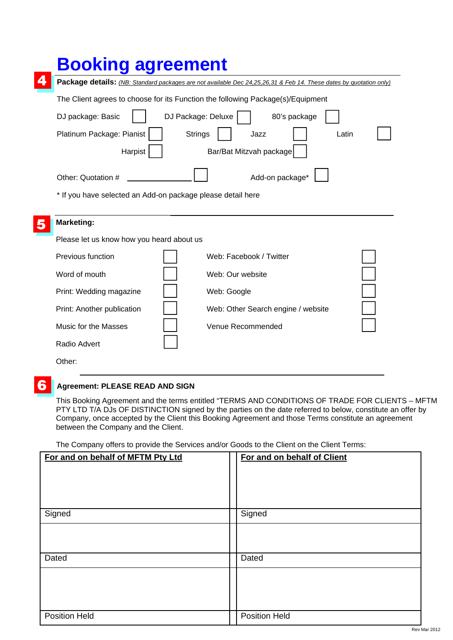| <b>Booking agreement</b>                                                                                           |                                    |  |  |  |
|--------------------------------------------------------------------------------------------------------------------|------------------------------------|--|--|--|
| Package details: (NB: Standard packages are not available Dec 24,25,26,31 & Feb 14. These dates by quotation only) |                                    |  |  |  |
| The Client agrees to choose for its Function the following Package(s)/Equipment                                    |                                    |  |  |  |
| DJ package: Basic                                                                                                  | DJ Package: Deluxe<br>80's package |  |  |  |
| Platinum Package: Pianist                                                                                          | <b>Strings</b><br>Jazz<br>Latin    |  |  |  |
| Harpist                                                                                                            | Bar/Bat Mitzvah package            |  |  |  |
| Other: Quotation #                                                                                                 | Add-on package*                    |  |  |  |
| * If you have selected an Add-on package please detail here                                                        |                                    |  |  |  |
| <b>Marketing:</b>                                                                                                  |                                    |  |  |  |
| Please let us know how you heard about us                                                                          |                                    |  |  |  |
| <b>Previous function</b>                                                                                           | Web: Facebook / Twitter            |  |  |  |
| Word of mouth                                                                                                      | Web: Our website                   |  |  |  |
| Print: Wedding magazine                                                                                            | Web: Google                        |  |  |  |
| Print: Another publication                                                                                         | Web: Other Search engine / website |  |  |  |
| Music for the Masses                                                                                               | Venue Recommended                  |  |  |  |
| Radio Advert                                                                                                       |                                    |  |  |  |
| Other:                                                                                                             |                                    |  |  |  |

#### 6 **Agreement: PLEASE READ AND SIGN**

This Booking Agreement and the terms entitled "TERMS AND CONDITIONS OF TRADE FOR CLIENTS – MFTM PTY LTD T/A DJs OF DISTINCTION signed by the parties on the date referred to below, constitute an offer by Company, once accepted by the Client this Booking Agreement and those Terms constitute an agreement between the Company and the Client.

The Company offers to provide the Services and/or Goods to the Client on the Client Terms:

| For and on behalf of MFTM Pty Ltd | For and on behalf of Client |
|-----------------------------------|-----------------------------|
|                                   |                             |
|                                   |                             |
|                                   |                             |
|                                   |                             |
|                                   |                             |
|                                   |                             |
| Signed                            | Signed                      |
|                                   |                             |
|                                   |                             |
|                                   |                             |
|                                   |                             |
|                                   |                             |
| Dated                             | Dated                       |
|                                   |                             |
|                                   |                             |
|                                   |                             |
|                                   |                             |
|                                   |                             |
|                                   |                             |
| <b>Position Held</b>              | <b>Position Held</b>        |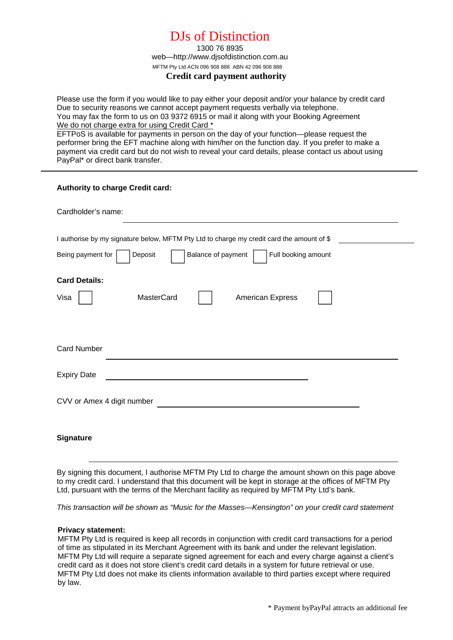1300 76 8935 web—http://www.djsofdistinction.com.au MFTM Pty Ltd ACN 096 908 888 ABN 42 096 908 888

### **Credit card payment authority**

Please use the form if you would like to pay either your deposit and/or your balance by credit card Due to security reasons we cannot accept payment requests verbally via telephone. You may fax the form to us on 03 9372 6915 or mail it along with your Booking Agreement We do not charge extra for using Credit Card \* EFTPoS is available for payments in person on the day of your function—please request the performer bring the EFT machine along with him/her on the function day. If you prefer to make a payment via credit card but do not wish to reveal your card details, please contact us about using PayPal\* or direct bank transfer.

| Authority to charge Credit card:                                                                                                                                       |
|------------------------------------------------------------------------------------------------------------------------------------------------------------------------|
| Cardholder's name:                                                                                                                                                     |
| I authorise by my signature below, MFTM Pty Ltd to charge my credit card the amount of \$<br>Full booking amount<br>Balance of payment<br>Being payment for<br>Deposit |
| <b>Card Details:</b><br><b>MasterCard</b><br><b>American Express</b><br>Visa                                                                                           |
|                                                                                                                                                                        |
| <b>Card Number</b>                                                                                                                                                     |
| <b>Expiry Date</b><br><u> 1989 - Johann John Stein, fransk politik (d. 1989)</u>                                                                                       |
| CVV or Amex 4 digit number<br><u> 1989 - Johann Barnett, fransk politiker (d. 1989)</u>                                                                                |
| <b>Signature</b>                                                                                                                                                       |

By signing this document, I authorise MFTM Pty Ltd to charge the amount shown on this page above to my credit card. I understand that this document will be kept in storage at the offices of MFTM Pty Ltd, pursuant with the terms of the Merchant facility as required by MFTM Pty Ltd's bank.

*This transaction will be shown as "Music for the Masses—Kensington" on your credit card statement* 

### **Privacy statement:**

MFTM Pty Ltd is required is keep all records in conjunction with credit card transactions for a period of time as stipulated in its Merchant Agreement with its bank and under the relevant legislation. MFTM Pty Ltd will require a separate signed agreement for each and every charge against a client's credit card as it does not store client's credit card details in a system for future retrieval or use. MFTM Pty Ltd does not make its clients information available to third parties except where required by law.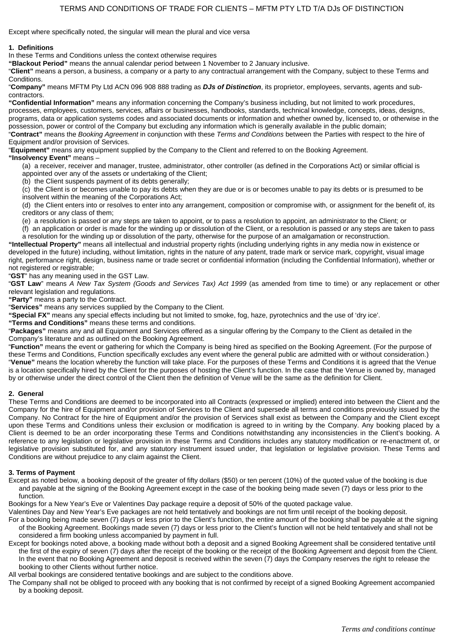Except where specifically noted, the singular will mean the plural and vice versa

#### **1. Definitions**

In these Terms and Conditions unless the context otherwise requires

**"Blackout Period"** means the annual calendar period between 1 November to 2 January inclusive.

"**Client"** means a person, a business, a company or a party to any contractual arrangement with the Company, subject to these Terms and Conditions.

"**Company"** means MFTM Pty Ltd ACN 096 908 888 trading as *DJs of Distinction*, its proprietor, employees, servants, agents and subcontractors.

**"Confidential Information"** means any information concerning the Company's business including, but not limited to work procedures, processes, employees, customers, services, affairs or businesses, handbooks, standards, technical knowledge, concepts, ideas, designs, programs, data or application systems codes and associated documents or information and whether owned by, licensed to, or otherwise in the possession, power or control of the Company but excluding any information which is generally available in the public domain; "**Contract"** means the *Booking Agreement* in conjunction with these *Terms and Conditions* between the Parties with respect to the hire of

Equipment and/or provision of Services. "**Equipment"** means any equipment supplied by the Company to the Client and referred to on the Booking Agreement.

### **"Insolvency Event"** means –

(a) a receiver, receiver and manager, trustee, administrator, other controller (as defined in the Corporations Act) or similar official is appointed over any of the assets or undertaking of the Client;

(b) the Client suspends payment of its debts generally;

(c) the Client is or becomes unable to pay its debts when they are due or is or becomes unable to pay its debts or is presumed to be insolvent within the meaning of the Corporations Act;

(d) the Client enters into or resolves to enter into any arrangement, composition or compromise with, or assignment for the benefit of, its creditors or any class of them;

(e) a resolution is passed or any steps are taken to appoint, or to pass a resolution to appoint, an administrator to the Client; or

(f) an application or order is made for the winding up or dissolution of the Client, or a resolution is passed or any steps are taken to pass a resolution for the winding up or dissolution of the party, otherwise for the purpose of an amalgamation or reconstruction.

**"Intellectual Property"** means all intellectual and industrial property rights (including underlying rights in any media now in existence or developed in the future) including, without limitation, rights in the nature of any patent, trade mark or service mark, copyright, visual image right, performance right, design, business name or trade secret or confidential information (including the Confidential Information), whether or not registered or registrable;

"**GST**" has any meaning used in the GST Law.

"**GST Law**" means *A New Tax System (Goods and Services Tax) Act 1999* (as amended from time to time) or any replacement or other relevant legislation and regulations.

**"Party"** means a party to the Contract.

"**Services"** means any services supplied by the Company to the Client.

**"Special FX"** means any special effects including but not limited to smoke, fog, haze, pyrotechnics and the use of 'dry ice'.

**"Terms and Conditions"** means these terms and conditions.

"**Packages"** means any and all Equipment and Services offered as a singular offering by the Company to the Client as detailed in the Company's literature and as outlined on the Booking Agreement.

"**Function"** means the event or gathering for which the Company is being hired as specified on the Booking Agreement. (For the purpose of these Terms and Conditions, Function specifically excludes any event where the general public are admitted with or without consideration.) "**Venue"** means the location whereby the function will take place. For the purposes of these Terms and Conditions it is agreed that the Venue is a location specifically hired by the Client for the purposes of hosting the Client's function. In the case that the Venue is owned by, managed by or otherwise under the direct control of the Client then the definition of Venue will be the same as the definition for Client.

### **2. General**

These Terms and Conditions are deemed to be incorporated into all Contracts (expressed or implied) entered into between the Client and the Company for the hire of Equipment and/or provision of Services to the Client and supersede all terms and conditions previously issued by the Company. No Contract for the hire of Equipment and/or the provision of Services shall exist as between the Company and the Client except upon these Terms and Conditions unless their exclusion or modification is agreed to in writing by the Company. Any booking placed by a Client is deemed to be an order incorporating these Terms and Conditions notwithstanding any inconsistencies in the Client's booking. A reference to any legislation or legislative provision in these Terms and Conditions includes any statutory modification or re-enactment of, or legislative provision substituted for, and any statutory instrument issued under, that legislation or legislative provision. These Terms and Conditions are without prejudice to any claim against the Client.

### **3. Terms of Payment**

Except as noted below, a booking deposit of the greater of fifty dollars (\$50) or ten percent (10%) of the quoted value of the booking is due and payable at the signing of the Booking Agreement except in the case of the booking being made seven (7) days or less prior to the function.

Bookings for a New Year's Eve or Valentines Day package require a deposit of 50% of the quoted package value.

Valentines Day and New Year's Eve packages are not held tentatively and bookings are not firm until receipt of the booking deposit. For a booking being made seven (7) days or less prior to the Client's function, the entire amount of the booking shall be payable at the signing of the Booking Agreement. Bookings made seven (7) days or less prior to the Client's function will not be held tentatively and shall not be considered a firm booking unless accompanied by payment in full.

Except for bookings noted above, a booking made without both a deposit and a signed Booking Agreement shall be considered tentative until the first of the expiry of seven (7) days after the receipt of the booking or the receipt of the Booking Agreement and deposit from the Client. In the event that no Booking Agreement and deposit is received within the seven (7) days the Company reserves the right to release the booking to other Clients without further notice.

All verbal bookings are considered tentative bookings and are subject to the conditions above.

The Company shall not be obliged to proceed with any booking that is not confirmed by receipt of a signed Booking Agreement accompanied by a booking deposit.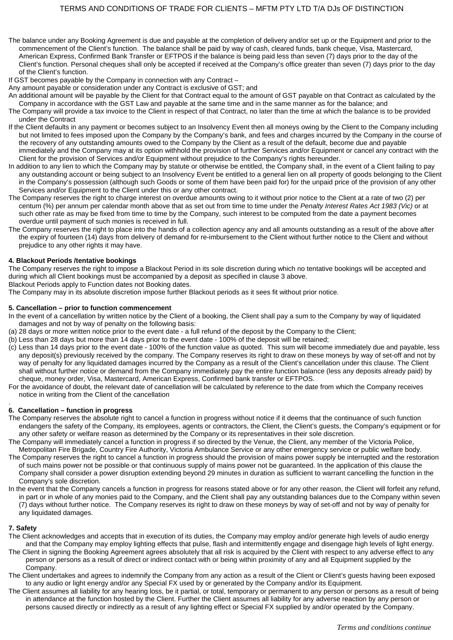The balance under any Booking Agreement is due and payable at the completion of delivery and/or set up or the Equipment and prior to the commencement of the Client's function. The balance shall be paid by way of cash, cleared funds, bank cheque, Visa, Mastercard, American Express, Confirmed Bank Transfer or EFTPOS if the balance is being paid less than seven (7) days prior to the day of the Client's function. Personal cheques shall only be accepted if received at the Company's office greater than seven (7) days prior to the day of the Client's function.

If GST becomes payable by the Company in connection with any Contract –

Any amount payable or consideration under any Contract is exclusive of GST; and

- An additional amount will be payable by the Client for that Contract equal to the amount of GST payable on that Contract as calculated by the Company in accordance with the GST Law and payable at the same time and in the same manner as for the balance; and
- The Company will provide a tax invoice to the Client in respect of that Contract, no later than the time at which the balance is to be provided under the Contract
- If the Client defaults in any payment or becomes subject to an Insolvency Event then all moneys owing by the Client to the Company including but not limited to fees imposed upon the Company by the Company's bank, and fees and charges incurred by the Company in the course of the recovery of any outstanding amounts owed to the Company by the Client as a result of the default, become due and payable immediately and the Company may at its option withhold the provision of further Services and/or Equipment or cancel any contract with the Client for the provision of Services and/or Equipment without prejudice to the Company's rights hereunder.
- In addition to any lien to which the Company may by statute or otherwise be entitled, the Company shall, in the event of a Client failing to pay any outstanding account or being subject to an Insolvency Event be entitled to a general lien on all property of goods belonging to the Client in the Company's possession (although such Goods or some of them have been paid for) for the unpaid price of the provision of any other Services and/or Equipment to the Client under this or any other contract.
- The Company reserves the right to charge interest on overdue amounts owing to it without prior notice to the Client at a rate of two (2) per centum (%) per annum per calendar month above that as set out from time to time under the *Penalty Interest Rates Act 1983 (Vic)* or at such other rate as may be fixed from time to time by the Company, such interest to be computed from the date a payment becomes overdue until payment of such monies is received in full.
- The Company reserves the right to place into the hands of a collection agency any and all amounts outstanding as a result of the above after the expiry of fourteen (14) days from delivery of demand for re-imbursement to the Client without further notice to the Client and without prejudice to any other rights it may have.

#### **4. Blackout Periods /tentative bookings**

The Company reserves the right to impose a Blackout Period in its sole discretion during which no tentative bookings will be accepted and during which all Client bookings must be accompanied by a deposit as specified in clause 3 above.

Blackout Periods apply to Function dates not Booking dates.

The Company may in its absolute discretion impose further Blackout periods as it sees fit without prior notice.

#### **5. Cancellation – prior to function commencement**

- In the event of a cancellation by written notice by the Client of a booking, the Client shall pay a sum to the Company by way of liquidated damages and not by way of penalty on the following basis:
- (a) 28 days or more written notice prior to the event date a full refund of the deposit by the Company to the Client;
- (b) Less than 28 days but more than 14 days prior to the event date 100% of the deposit will be retained;
- (c) Less than 14 days prior to the event date 100% of the function value as quoted. This sum will become immediately due and payable, less any deposit(s) previously received by the company. The Company reserves its right to draw on these moneys by way of set-off and not by way of penalty for any liquidated damages incurred by the Company as a result of the Client's cancellation under this clause. The Client shall without further notice or demand from the Company immediately pay the entire function balance (less any deposits already paid) by cheque, money order, Visa, Mastercard, American Express, Confirmed bank transfer or EFTPOS.
- For the avoidance of doubt, the relevant date of cancellation will be calculated by reference to the date from which the Company receives notice in writing from the Client of the cancellation

#### . **6. Cancellation – function in progress**

- The Company reserves the absolute right to cancel a function in progress without notice if it deems that the continuance of such function endangers the safety of the Company, its employees, agents or contractors, the Client, the Client's guests, the Company's equipment or for any other safety or welfare reason as determined by the Company or its representatives in their sole discretion.
- The Company will immediately cancel a function in progress if so directed by the Venue, the Client, any member of the Victoria Police, Metropolitan Fire Brigade, Country Fire Authority, Victoria Ambulance Service or any other emergency service or public welfare body.
- The Company reserves the right to cancel a function in progress should the provision of mains power supply be interrupted and the restoration of such mains power not be possible or that continuous supply of mains power not be guaranteed. In the application of this clause the Company shall consider a power disruption extending beyond 29 minutes in duration as sufficient to warrant cancelling the function in the Company's sole discretion.
- In the event that the Company cancels a function in progress for reasons stated above or for any other reason, the Client will forfeit any refund. in part or in whole of any monies paid to the Company, and the Client shall pay any outstanding balances due to the Company within seven (7) days without further notice. The Company reserves its right to draw on these moneys by way of set-off and not by way of penalty for any liquidated damages.

### **7. Safety**

- The Client acknowledges and accepts that in execution of its duties, the Company may employ and/or generate high levels of audio energy and that the Company may employ lighting effects that pulse, flash and intermittently engage and disengage high levels of light energy.
- The Client in signing the Booking Agreement agrees absolutely that all risk is acquired by the Client with respect to any adverse effect to any person or persons as a result of direct or indirect contact with or being within proximity of any and all Equipment supplied by the Company.
- The Client undertakes and agrees to indemnify the Company from any action as a result of the Client or Client's guests having been exposed to any audio or light energy and/or any Special FX used by or generated by the Company and/or its Equipment.
- The Client assumes all liability for any hearing loss, be it partial, or total, temporary or permanent to any person or persons as a result of being in attendance at the function hosted by the Client. Further the Client assumes all liability for any adverse reaction by any person or persons caused directly or indirectly as a result of any lighting effect or Special FX supplied by and/or operated by the Company.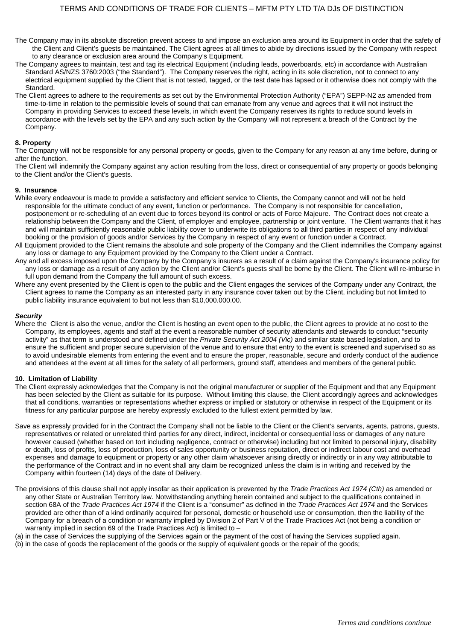- The Company may in its absolute discretion prevent access to and impose an exclusion area around its Equipment in order that the safety of the Client and Client's guests be maintained. The Client agrees at all times to abide by directions issued by the Company with respect to any clearance or exclusion area around the Company's Equipment.
- The Company agrees to maintain, test and tag its electrical Equipment (including leads, powerboards, etc) in accordance with Australian Standard AS/NZS 3760:2003 ("the Standard"). The Company reserves the right, acting in its sole discretion, not to connect to any electrical equipment supplied by the Client that is not tested, tagged, or the test date has lapsed or it otherwise does not comply with the Standard.
- The Client agrees to adhere to the requirements as set out by the Environmental Protection Authority ("EPA") SEPP-N2 as amended from time-to-time in relation to the permissible levels of sound that can emanate from any venue and agrees that it will not instruct the Company in providing Services to exceed these levels, in which event the Company reserves its rights to reduce sound levels in accordance with the levels set by the EPA and any such action by the Company will not represent a breach of the Contract by the Company.

#### **8. Property**

The Company will not be responsible for any personal property or goods, given to the Company for any reason at any time before, during or after the function.

The Client will indemnify the Company against any action resulting from the loss, direct or consequential of any property or goods belonging to the Client and/or the Client's guests.

#### **9. Insurance**

- While every endeavour is made to provide a satisfactory and efficient service to Clients, the Company cannot and will not be held responsible for the ultimate conduct of any event, function or performance. The Company is not responsible for cancellation, postponement or re-scheduling of an event due to forces beyond its control or acts of Force Majeure. The Contract does not create a relationship between the Company and the Client, of employer and employee, partnership or joint venture. The Client warrants that it has and will maintain sufficiently reasonable public liability cover to underwrite its obligations to all third parties in respect of any individual booking or the provision of goods and/or Services by the Company in respect of any event or function under a Contract.
- All Equipment provided to the Client remains the absolute and sole property of the Company and the Client indemnifies the Company against any loss or damage to any Equipment provided by the Company to the Client under a Contract.
- Any and all excess imposed upon the Company by the Company's insurers as a result of a claim against the Company's insurance policy for any loss or damage as a result of any action by the Client and/or Client's guests shall be borne by the Client. The Client will re-imburse in full upon demand from the Company the full amount of such excess.
- Where any event presented by the Client is open to the public and the Client engages the services of the Company under any Contract, the Client agrees to name the Company as an interested party in any insurance cover taken out by the Client, including but not limited to public liability insurance equivalent to but not less than \$10,000.000.00.

#### *Security*

Where the Client is also the venue, and/or the Client is hosting an event open to the public, the Client agrees to provide at no cost to the Company, its employees, agents and staff at the event a reasonable number of security attendants and stewards to conduct "security activity" as that term is understood and defined under the *Private Security Act 2004 (Vic)* and similar state based legislation, and to ensure the sufficient and proper secure supervision of the venue and to ensure that entry to the event is screened and supervised so as to avoid undesirable elements from entering the event and to ensure the proper, reasonable, secure and orderly conduct of the audience and attendees at the event at all times for the safety of all performers, ground staff, attendees and members of the general public.

#### **10. Limitation of Liability**

- The Client expressly acknowledges that the Company is not the original manufacturer or supplier of the Equipment and that any Equipment has been selected by the Client as suitable for its purpose. Without limiting this clause, the Client accordingly agrees and acknowledges that all conditions, warranties or representations whether express or implied or statutory or otherwise in respect of the Equipment or its fitness for any particular purpose are hereby expressly excluded to the fullest extent permitted by law.
- Save as expressly provided for in the Contract the Company shall not be liable to the Client or the Client's servants, agents, patrons, guests, representatives or related or unrelated third parties for any direct, indirect, incidental or consequential loss or damages of any nature however caused (whether based on tort including negligence, contract or otherwise) including but not limited to personal injury, disability or death, loss of profits, loss of production, loss of sales opportunity or business reputation, direct or indirect labour cost and overhead expenses and damage to equipment or property or any other claim whatsoever arising directly or indirectly or in any way attributable to the performance of the Contract and in no event shall any claim be recognized unless the claim is in writing and received by the Company within fourteen (14) days of the date of Delivery.
- The provisions of this clause shall not apply insofar as their application is prevented by the *Trade Practices Act 1974 (Cth)* as amended or any other State or Australian Territory law. Notwithstanding anything herein contained and subject to the qualifications contained in section 68A of the *Trade Practices Act 1974* if the Client is a "consumer" as defined in the *Trade Practices Act 1974* and the Services provided are other than of a kind ordinarily acquired for personal, domestic or household use or consumption, then the liability of the Company for a breach of a condition or warranty implied by Division 2 of Part V of the Trade Practices Act (not being a condition or warranty implied in section 69 of the Trade Practices Act) is limited to –
- (a) in the case of Services the supplying of the Services again or the payment of the cost of having the Services supplied again.
- (b) in the case of goods the replacement of the goods or the supply of equivalent goods or the repair of the goods;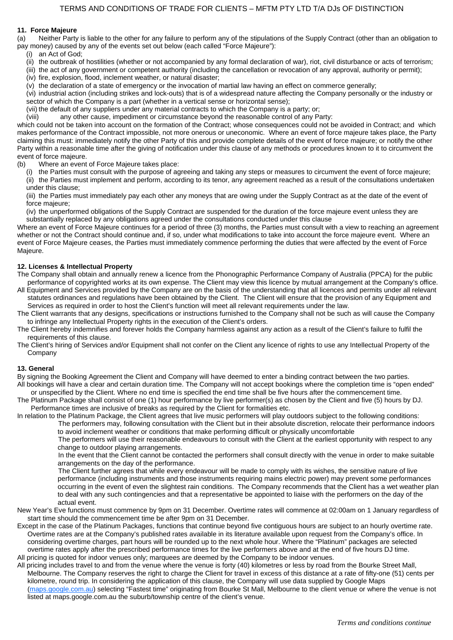#### **11. Force Majeure**

(a) Neither Party is liable to the other for any failure to perform any of the stipulations of the Supply Contract (other than an obligation to pay money) caused by any of the events set out below (each called "Force Majeure"):

- (i) an Act of God;
- (ii) the outbreak of hostilities (whether or not accompanied by any formal declaration of war), riot, civil disturbance or acts of terrorism;
- (iii) the act of any government or competent authority (including the cancellation or revocation of any approval, authority or permit);
- (iv) fire, explosion, flood, inclement weather, or natural disaster;
- (v) the declaration of a state of emergency or the invocation of martial law having an effect on commerce generally;

(vi) industrial action (including strikes and lock-outs) that is of a widespread nature affecting the Company personally or the industry or sector of which the Company is a part (whether in a vertical sense or horizontal sense);

(vii) the default of any suppliers under any material contracts to which the Company is a party; or;

(viii) any other cause, impediment or circumstance beyond the reasonable control of any Party:

which could not be taken into account on the formation of the Contract; whose consequences could not be avoided in Contract; and which makes performance of the Contract impossible, not more onerous or uneconomic. Where an event of force majeure takes place, the Party claiming this must: immediately notify the other Party of this and provide complete details of the event of force majeure; or notify the other Party within a reasonable time after the giving of notification under this clause of any methods or procedures known to it to circumvent the event of force majeure.

- (b) Where an event of Force Majeure takes place:
	- (i) the Parties must consult with the purpose of agreeing and taking any steps or measures to circumvent the event of force majeure; (ii) the Parties must implement and perform, according to its tenor, any agreement reached as a result of the consultations undertaken
	- under this clause;

(iii) the Parties must immediately pay each other any moneys that are owing under the Supply Contract as at the date of the event of force majeure;

(iv) the unperformed obligations of the Supply Contract are suspended for the duration of the force majeure event unless they are substantially replaced by any obligations agreed under the consultations conducted under this clause

Where an event of Force Majeure continues for a period of three (3) months, the Parties must consult with a view to reaching an agreement whether or not the Contract should continue and, if so, under what modifications to take into account the force majeure event. Where an event of Force Majeure ceases, the Parties must immediately commence performing the duties that were affected by the event of Force Majeure.

#### **12. Licenses & Intellectual Property**

The Company shall obtain and annually renew a licence from the Phonographic Performance Company of Australia (PPCA) for the public performance of copyrighted works at its own expense. The Client may view this licence by mutual arrangement at the Company's office.

All Equipment and Services provided by the Company are on the basis of the understanding that all licences and permits under all relevant statutes ordinances and regulations have been obtained by the Client. The Client will ensure that the provision of any Equipment and Services as required in order to host the Client's function will meet all relevant requirements under the law.

The Client warrants that any designs, specifications or instructions furnished to the Company shall not be such as will cause the Company to infringe any Intellectual Property rights in the execution of the Client's orders.

The Client hereby indemnifies and forever holds the Company harmless against any action as a result of the Client's failure to fulfil the requirements of this clause.

The Client's hiring of Services and/or Equipment shall not confer on the Client any licence of rights to use any Intellectual Property of the Company

#### **13. General**

By signing the Booking Agreement the Client and Company will have deemed to enter a binding contract between the two parties. All bookings will have a clear and certain duration time. The Company will not accept bookings where the completion time is "open ended"

or unspecified by the Client. Where no end time is specified the end time shall be five hours after the commencement time. The Platinum Package shall consist of one (1) hour performance by live performer(s) as chosen by the Client and five (5) hours by DJ. Performance times are inclusive of breaks as required by the Client for formalities etc.

In relation to the Platinum Package, the Client agrees that live music performers will play outdoors subject to the following conditions: The performers may, following consultation with the Client but in their absolute discretion, relocate their performance indoors

to avoid inclement weather or conditions that make performing difficult or physically uncomfortable

The performers will use their reasonable endeavours to consult with the Client at the earliest opportunity with respect to any change to outdoor playing arrangements.

In the event that the Client cannot be contacted the performers shall consult directly with the venue in order to make suitable arrangements on the day of the performance.

The Client further agrees that while every endeavour will be made to comply with its wishes, the sensitive nature of live performance (including instruments and those instruments requiring mains electric power) may prevent some performances occurring in the event of even the slightest rain conditions. The Company recommends that the Client has a wet weather plan to deal with any such contingencies and that a representative be appointed to liaise with the performers on the day of the actual event.

- New Year's Eve functions must commence by 9pm on 31 December. Overtime rates will commence at 02:00am on 1 January regardless of start time should the commencement time be after 9pm on 31 December.
- Except in the case of the Platinum Packages, functions that continue beyond five contiguous hours are subject to an hourly overtime rate. Overtime rates are at the Company's published rates available in its literature available upon request from the Company's office. In considering overtime charges, part hours will be rounded up to the next whole hour. Where the "Platinum" packages are selected overtime rates apply after the prescribed performance times for the live performers above and at the end of five hours DJ time. All pricing is quoted for indoor venues only; marquees are deemed by the Company to be indoor venues.
- All pricing includes travel to and from the venue where the venue is forty (40) kilometres or less by road from the Bourke Street Mall, Melbourne. The Company reserves the right to charge the Client for travel in excess of this distance at a rate of fifty-one (51) cents per kilometre, round trip. In considering the application of this clause, the Company will use data supplied by Google Maps (maps.google.com.au) selecting "Fastest time" originating from Bourke St Mall, Melbourne to the client venue or where the venue is not listed at maps.google.com.au the suburb/township centre of the client's venue.